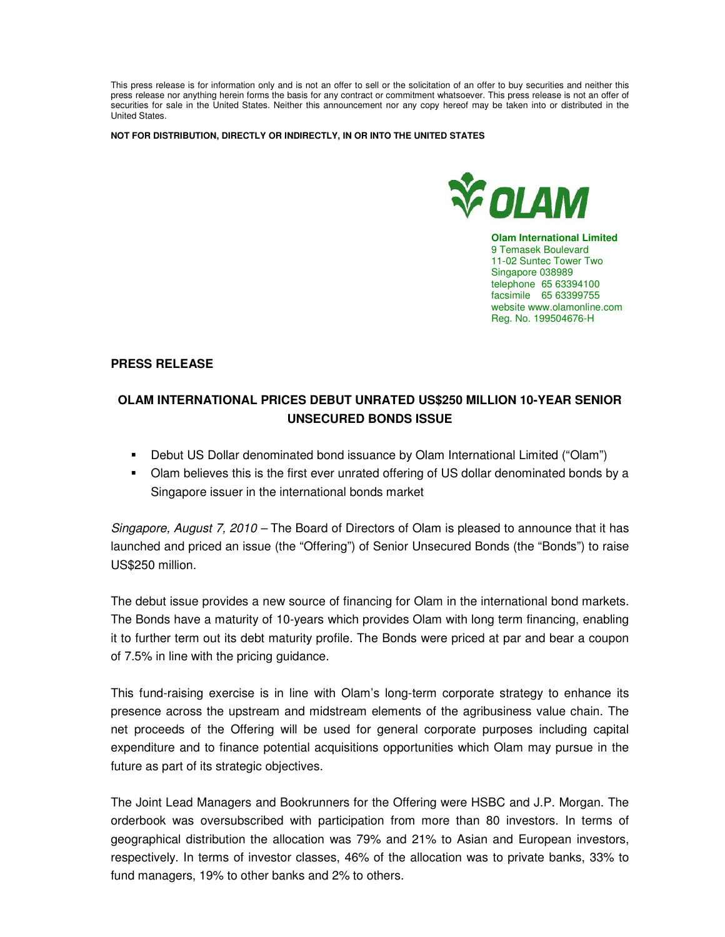This press release is for information only and is not an offer to sell or the solicitation of an offer to buy securities and neither this press release nor anything herein forms the basis for any contract or commitment whatsoever. This press release is not an offer of securities for sale in the United States. Neither this announcement nor any copy hereof may be taken into or distributed in the United States.

**NOT FOR DISTRIBUTION, DIRECTLY OR INDIRECTLY, IN OR INTO THE UNITED STATES** 



**Olam International Limited**  9 Temasek Boulevard 11-02 Suntec Tower Two Singapore 038989 telephone 65 63394100 facsimile 65 63399755 website www.olamonline.com Reg. No. 199504676-H

## **PRESS RELEASE**

## **OLAM INTERNATIONAL PRICES DEBUT UNRATED US\$250 MILLION 10-YEAR SENIOR UNSECURED BONDS ISSUE**

- Debut US Dollar denominated bond issuance by Olam International Limited ("Olam")
- Olam believes this is the first ever unrated offering of US dollar denominated bonds by a Singapore issuer in the international bonds market

Singapore, August 7, 2010 – The Board of Directors of Olam is pleased to announce that it has launched and priced an issue (the "Offering") of Senior Unsecured Bonds (the "Bonds") to raise US\$250 million.

The debut issue provides a new source of financing for Olam in the international bond markets. The Bonds have a maturity of 10-years which provides Olam with long term financing, enabling it to further term out its debt maturity profile. The Bonds were priced at par and bear a coupon of 7.5% in line with the pricing guidance.

This fund-raising exercise is in line with Olam's long-term corporate strategy to enhance its presence across the upstream and midstream elements of the agribusiness value chain. The net proceeds of the Offering will be used for general corporate purposes including capital expenditure and to finance potential acquisitions opportunities which Olam may pursue in the future as part of its strategic objectives.

The Joint Lead Managers and Bookrunners for the Offering were HSBC and J.P. Morgan. The orderbook was oversubscribed with participation from more than 80 investors. In terms of geographical distribution the allocation was 79% and 21% to Asian and European investors, respectively. In terms of investor classes, 46% of the allocation was to private banks, 33% to fund managers, 19% to other banks and 2% to others.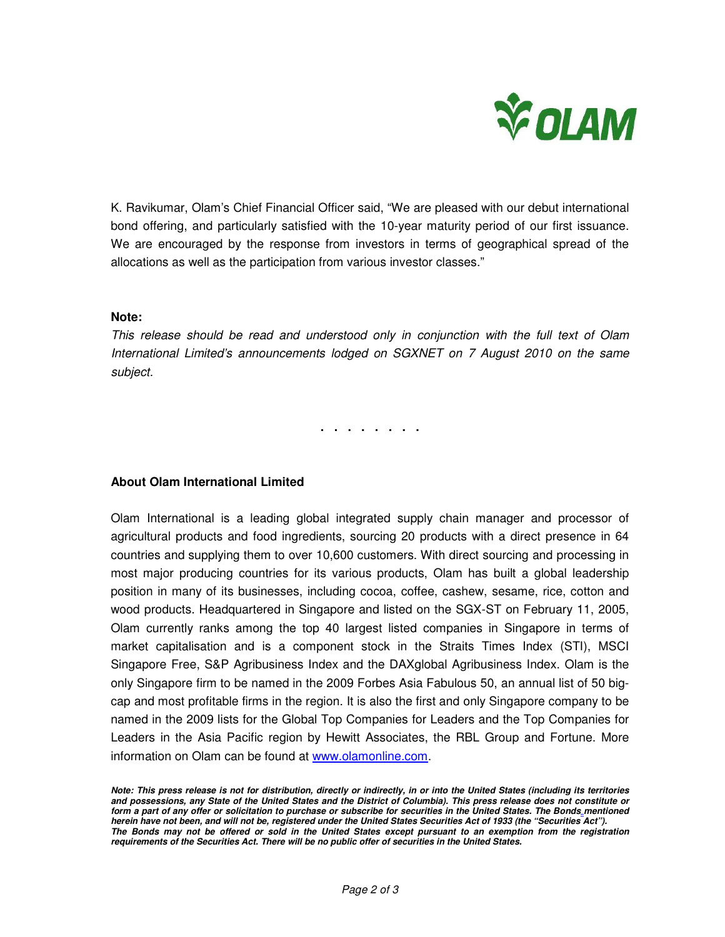

K. Ravikumar, Olam's Chief Financial Officer said, "We are pleased with our debut international bond offering, and particularly satisfied with the 10-year maturity period of our first issuance. We are encouraged by the response from investors in terms of geographical spread of the allocations as well as the participation from various investor classes."

## **Note:**

This release should be read and understood only in conjunction with the full text of Olam International Limited's announcements lodged on SGXNET on 7 August 2010 on the same subject.

**. . . . . . . .** 

## **About Olam International Limited**

Olam International is a leading global integrated supply chain manager and processor of agricultural products and food ingredients, sourcing 20 products with a direct presence in 64 countries and supplying them to over 10,600 customers. With direct sourcing and processing in most major producing countries for its various products, Olam has built a global leadership position in many of its businesses, including cocoa, coffee, cashew, sesame, rice, cotton and wood products. Headquartered in Singapore and listed on the SGX-ST on February 11, 2005, Olam currently ranks among the top 40 largest listed companies in Singapore in terms of market capitalisation and is a component stock in the Straits Times Index (STI), MSCI Singapore Free, S&P Agribusiness Index and the DAXglobal Agribusiness Index. Olam is the only Singapore firm to be named in the 2009 Forbes Asia Fabulous 50, an annual list of 50 bigcap and most profitable firms in the region. It is also the first and only Singapore company to be named in the 2009 lists for the Global Top Companies for Leaders and the Top Companies for Leaders in the Asia Pacific region by Hewitt Associates, the RBL Group and Fortune. More information on Olam can be found at www.olamonline.com.

**Note: This press release is not for distribution, directly or indirectly, in or into the United States (including its territories and possessions, any State of the United States and the District of Columbia). This press release does not constitute or form a part of any offer or solicitation to purchase or subscribe for securities in the United States. The Bonds mentioned herein have not been, and will not be, registered under the United States Securities Act of 1933 (the "Securities Act"). The Bonds may not be offered or sold in the United States except pursuant to an exemption from the registration requirements of the Securities Act. There will be no public offer of securities in the United States.**